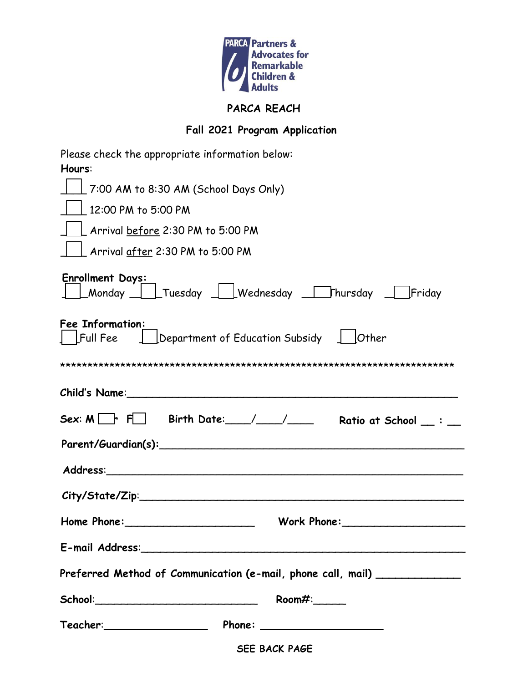

## **PARCA REACH**

## **Fall 2021 Program Application**

**SEE BACK PAGE**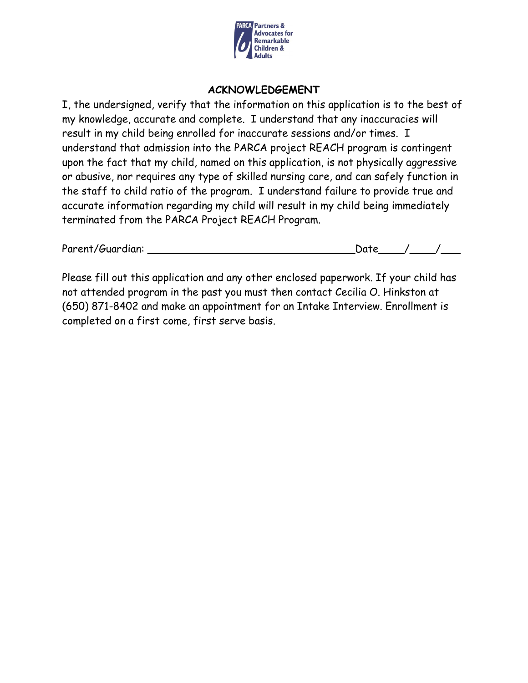

#### **ACKNOWLEDGEMENT**

I, the undersigned, verify that the information on this application is to the best of my knowledge, accurate and complete. I understand that any inaccuracies will result in my child being enrolled for inaccurate sessions and/or times. I understand that admission into the PARCA project REACH program is contingent upon the fact that my child, named on this application, is not physically aggressive or abusive, nor requires any type of skilled nursing care, and can safely function in the staff to child ratio of the program. I understand failure to provide true and accurate information regarding my child will result in my child being immediately terminated from the PARCA Project REACH Program.

| Parent/Guardian: | Date. |  |
|------------------|-------|--|
|                  |       |  |

Please fill out this application and any other enclosed paperwork. If your child has not attended program in the past you must then contact Cecilia O. Hinkston at (650) 871-8402 and make an appointment for an Intake Interview. Enrollment is completed on a first come, first serve basis.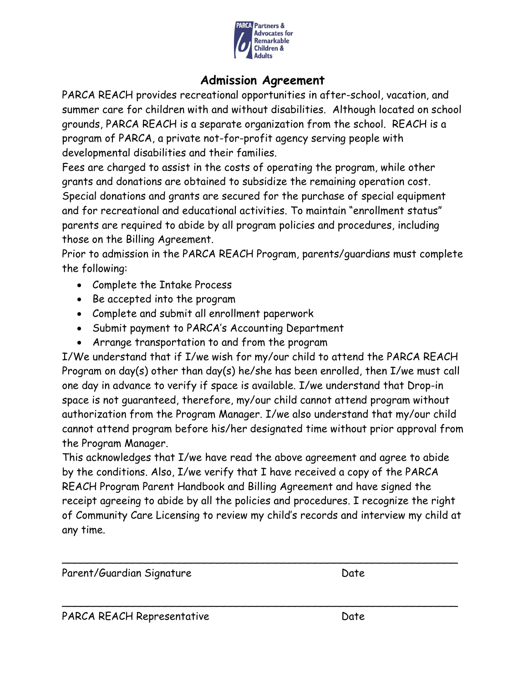

# **Admission Agreement**

PARCA REACH provides recreational opportunities in after-school, vacation, and summer care for children with and without disabilities. Although located on school grounds, PARCA REACH is a separate organization from the school. REACH is a program of PARCA, a private not-for-profit agency serving people with developmental disabilities and their families.

Fees are charged to assist in the costs of operating the program, while other grants and donations are obtained to subsidize the remaining operation cost. Special donations and grants are secured for the purchase of special equipment and for recreational and educational activities. To maintain "enrollment status" parents are required to abide by all program policies and procedures, including those on the Billing Agreement.

Prior to admission in the PARCA REACH Program, parents/guardians must complete the following:

- Complete the Intake Process
- Be accepted into the program
- Complete and submit all enrollment paperwork
- Submit payment to PARCA's Accounting Department
- Arrange transportation to and from the program

I/We understand that if I/we wish for my/our child to attend the PARCA REACH Program on day(s) other than day(s) he/she has been enrolled, then I/we must call one day in advance to verify if space is available. I/we understand that Drop-in space is not guaranteed, therefore, my/our child cannot attend program without authorization from the Program Manager. I/we also understand that my/our child cannot attend program before his/her designated time without prior approval from the Program Manager.

This acknowledges that I/we have read the above agreement and agree to abide by the conditions. Also, I/we verify that I have received a copy of the PARCA REACH Program Parent Handbook and Billing Agreement and have signed the receipt agreeing to abide by all the policies and procedures. I recognize the right of Community Care Licensing to review my child's records and interview my child at any time.

 $\sim$  . The contract of the contract of the contract of the contract of the contract of the contract of the contract of

 $\sim$  . The contract of the contract of the contract of the contract of the contract of the contract of the contract of

Parent/Guardian Signature Date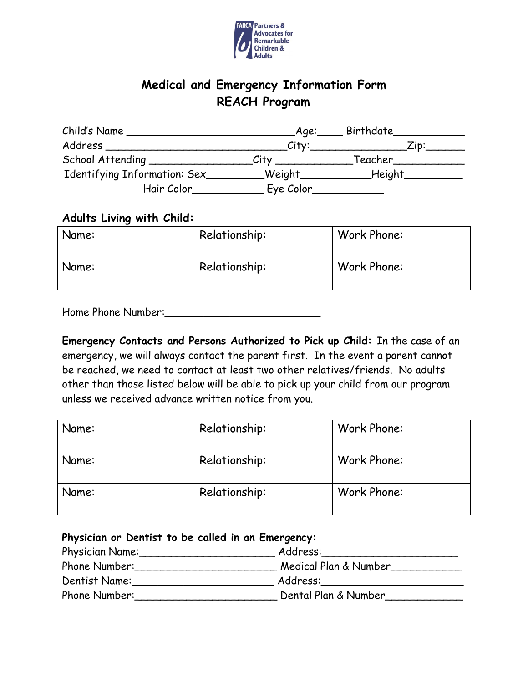

# **Medical and Emergency Information Form REACH Program**

| Child's Name                    | Aqe:_      | $\rule{1em}{0.15mm}$ Birthdate___ |
|---------------------------------|------------|-----------------------------------|
| Address                         | Citv:      | ∠ip:                              |
| School Attending ______________ | City       | Teacher                           |
| Identifying Information: Sex_   | $\_Weight$ | _Height_                          |
| Hair Color                      | Eye Color  |                                   |

#### **Adults Living with Child:**

| Name: | Relationship: | Work Phone: |
|-------|---------------|-------------|
| Name: | Relationship: | Work Phone: |

Home Phone Number:\_\_\_\_\_\_\_\_\_\_\_\_\_\_\_\_\_\_\_\_\_\_\_\_

**Emergency Contacts and Persons Authorized to Pick up Child:** In the case of an emergency, we will always contact the parent first. In the event a parent cannot be reached, we need to contact at least two other relatives/friends. No adults other than those listed below will be able to pick up your child from our program unless we received advance written notice from you.

| Name: | Relationship: | Work Phone: |
|-------|---------------|-------------|
| Name: | Relationship: | Work Phone: |
| Name: | Relationship: | Work Phone: |

### **Physician or Dentist to be called in an Emergency:**

| Physician Name: | Address:              |
|-----------------|-----------------------|
| Phone Number:   | Medical Plan & Number |
| Dentist Name:   | Address:              |
| Phone Number:   | Dental Plan & Number  |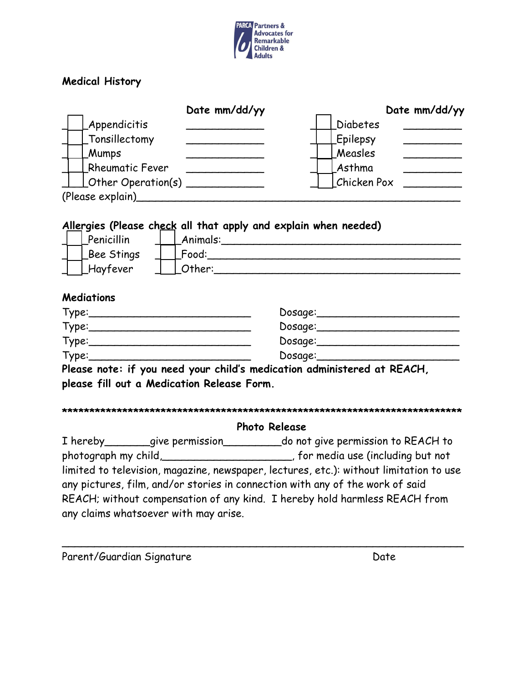

## **Medical History**

|                                                                 | Date mm/dd/yy | Date mm/dd/yy   |
|-----------------------------------------------------------------|---------------|-----------------|
| Appendicitis                                                    |               | <b>Diabetes</b> |
| _Tonsillectomy                                                  |               | <b>Epilepsy</b> |
| <b>Mumps</b>                                                    |               | Measles         |
| <b>Rheumatic Fever</b>                                          |               | Asthma          |
| $\perp$ Other Operation(s) ______                               |               | Chicken Pox     |
| (Please explain)                                                |               |                 |
| Allergies (Please check all that apply and explain when needed) |               |                 |
| <b>Ponicillin</b>                                               | Animala.      |                 |

| Penicillin | Animals: |
|------------|----------|
| Bee Stings | Food:    |
| Hayfever   | rher:    |

#### **Mediations**

| Type: | Dosage: |
|-------|---------|
| Type: | Dosage: |
| Type: | Dosage: |
| Type: | Dosage: |

**Please note: if you need your child's medication administered at REACH, please fill out a Medication Release Form.** 

#### **\*\*\*\*\*\*\*\*\*\*\*\*\*\*\*\*\*\*\*\*\*\*\*\*\*\*\*\*\*\*\*\*\*\*\*\*\*\*\*\*\*\*\*\*\*\*\*\*\*\*\*\*\*\*\*\*\*\*\*\*\*\*\*\*\*\*\*\*\*\*\*\*\***

#### **Photo Release**

I hereby\_\_\_\_\_\_\_give permission\_\_\_\_\_\_\_\_\_do not give permission to REACH to photograph my child, https://www.formedia use (including but not limited to television, magazine, newspaper, lectures, etc.): without limitation to use any pictures, film, and/or stories in connection with any of the work of said REACH; without compensation of any kind. I hereby hold harmless REACH from any claims whatsoever with may arise.

\_\_\_\_\_\_\_\_\_\_\_\_\_\_\_\_\_\_\_\_\_\_\_\_\_\_\_\_\_\_\_\_\_\_\_\_\_\_\_\_\_\_\_\_\_\_\_\_\_\_\_\_\_\_\_\_\_\_\_\_\_\_

Parent/Guardian Signature Date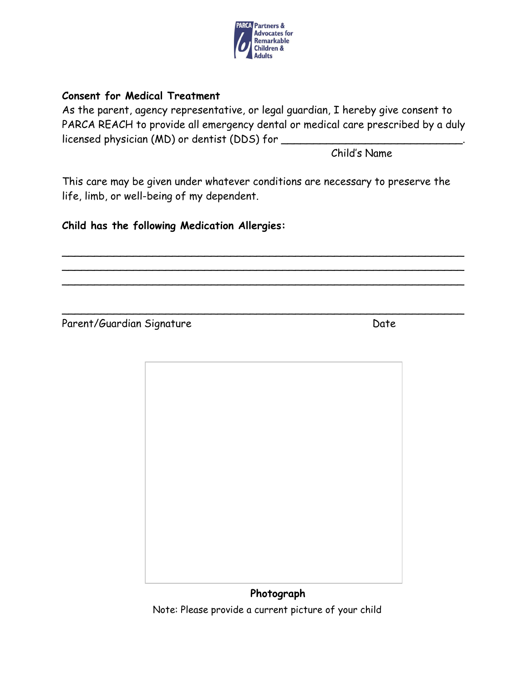

### **Consent for Medical Treatment**

As the parent, agency representative, or legal guardian, I hereby give consent to PARCA REACH to provide all emergency dental or medical care prescribed by a duly licensed physician (MD) or dentist (DDS) for \_

Child's Name

This care may be given under whatever conditions are necessary to preserve the life, limb, or well-being of my dependent.

 $\sim$  . The contract of the contract of the contract of the contract of the contract of the contract of the contract of  $\sim$  . The contract of the contract of the contract of the contract of the contract of the contract of the contract of \_\_\_\_\_\_\_\_\_\_\_\_\_\_\_\_\_\_\_\_\_\_\_\_\_\_\_\_\_\_\_\_\_\_\_\_\_\_\_\_\_\_\_\_\_\_\_\_\_\_\_\_\_\_\_\_\_\_\_\_\_\_

\_\_\_\_\_\_\_\_\_\_\_\_\_\_\_\_\_\_\_\_\_\_\_\_\_\_\_\_\_\_\_\_\_\_\_\_\_\_\_\_\_\_\_\_\_\_\_\_\_\_\_\_\_\_\_\_\_\_\_\_\_\_

**Child has the following Medication Allergies:** 

Parent/Guardian Signature Date



Note: Please provide a current picture of your child